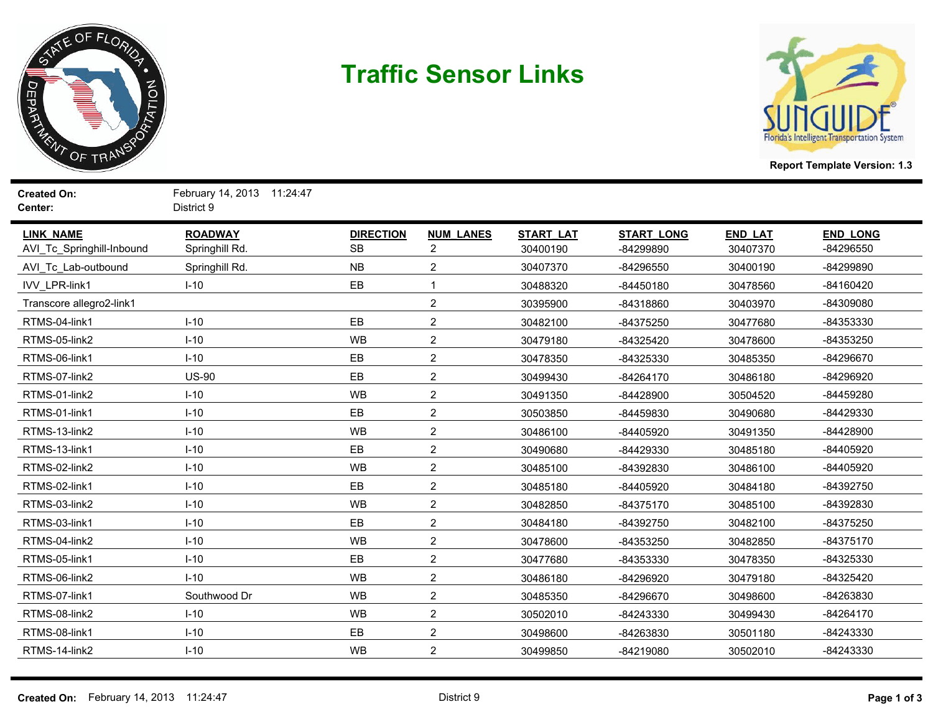

## **Traffic Sensor Links**



**Report Template Version: 1.3**

**Created On:** February 14, 2013 11:24:47 **Center:** District 9

| <b>LINK NAME</b><br>AVI Tc Springhill-Inbound | <b>ROADWAY</b><br>Springhill Rd. | <b>DIRECTION</b><br><b>SB</b> | <b>NUM LANES</b><br>$\overline{2}$ | <b>START LAT</b><br>30400190 | <b>START LONG</b><br>-84299890 | <b>END LAT</b><br>30407370 | <b>END LONG</b><br>-84296550 |
|-----------------------------------------------|----------------------------------|-------------------------------|------------------------------------|------------------------------|--------------------------------|----------------------------|------------------------------|
| AVI_Tc_Lab-outbound                           | Springhill Rd.                   | NB                            | $\boldsymbol{2}$                   | 30407370                     | -84296550                      | 30400190                   | -84299890                    |
| <b>IVV LPR-link1</b>                          | $I-10$                           | EB                            | 1                                  | 30488320                     | $-84450180$                    | 30478560                   | $-84160420$                  |
| Transcore allegro2-link1                      |                                  |                               | $\boldsymbol{2}$                   | 30395900                     | -84318860                      | 30403970                   | -84309080                    |
| RTMS-04-link1                                 | $I-10$                           | EB                            | $\boldsymbol{2}$                   | 30482100                     | -84375250                      | 30477680                   | -84353330                    |
| RTMS-05-link2                                 | $I-10$                           | <b>WB</b>                     | $\overline{2}$                     | 30479180                     | -84325420                      | 30478600                   | -84353250                    |
| RTMS-06-link1                                 | $I-10$                           | EB                            | $\overline{2}$                     | 30478350                     | -84325330                      | 30485350                   | -84296670                    |
| RTMS-07-link2                                 | <b>US-90</b>                     | EB                            | $\overline{2}$                     | 30499430                     | $-84264170$                    | 30486180                   | -84296920                    |
| RTMS-01-link2                                 | $I-10$                           | <b>WB</b>                     | $\overline{c}$                     | 30491350                     | -84428900                      | 30504520                   | -84459280                    |
| RTMS-01-link1                                 | $I-10$                           | EB                            | $\sqrt{2}$                         | 30503850                     | -84459830                      | 30490680                   | -84429330                    |
| RTMS-13-link2                                 | $I-10$                           | <b>WB</b>                     | $\boldsymbol{2}$                   | 30486100                     | -84405920                      | 30491350                   | -84428900                    |
| RTMS-13-link1                                 | $I-10$                           | EB                            | $\boldsymbol{2}$                   | 30490680                     | -84429330                      | 30485180                   | -84405920                    |
| RTMS-02-link2                                 | $I-10$                           | <b>WB</b>                     | $\boldsymbol{2}$                   | 30485100                     | -84392830                      | 30486100                   | -84405920                    |
| RTMS-02-link1                                 | $I-10$                           | EB                            | $\boldsymbol{2}$                   | 30485180                     | -84405920                      | 30484180                   | -84392750                    |
| RTMS-03-link2                                 | $I-10$                           | <b>WB</b>                     | $\overline{2}$                     | 30482850                     | -84375170                      | 30485100                   | -84392830                    |
| RTMS-03-link1                                 | $I-10$                           | EB                            | $\overline{2}$                     | 30484180                     | -84392750                      | 30482100                   | -84375250                    |
| RTMS-04-link2                                 | $I-10$                           | <b>WB</b>                     | $\overline{2}$                     | 30478600                     | -84353250                      | 30482850                   | -84375170                    |
| RTMS-05-link1                                 | $I-10$                           | EB                            | $\overline{2}$                     | 30477680                     | -84353330                      | 30478350                   | -84325330                    |
| RTMS-06-link2                                 | $I-10$                           | <b>WB</b>                     | $\overline{2}$                     | 30486180                     | -84296920                      | 30479180                   | -84325420                    |
| RTMS-07-link1                                 | Southwood Dr                     | <b>WB</b>                     | $\boldsymbol{2}$                   | 30485350                     | -84296670                      | 30498600                   | -84263830                    |
| RTMS-08-link2                                 | $I-10$                           | <b>WB</b>                     | $\boldsymbol{2}$                   | 30502010                     | -84243330                      | 30499430                   | $-84264170$                  |
| RTMS-08-link1                                 | $I-10$                           | EB                            | $\boldsymbol{2}$                   | 30498600                     | -84263830                      | 30501180                   | -84243330                    |
| RTMS-14-link2                                 | $I-10$                           | <b>WB</b>                     | $\boldsymbol{2}$                   | 30499850                     | -84219080                      | 30502010                   | -84243330                    |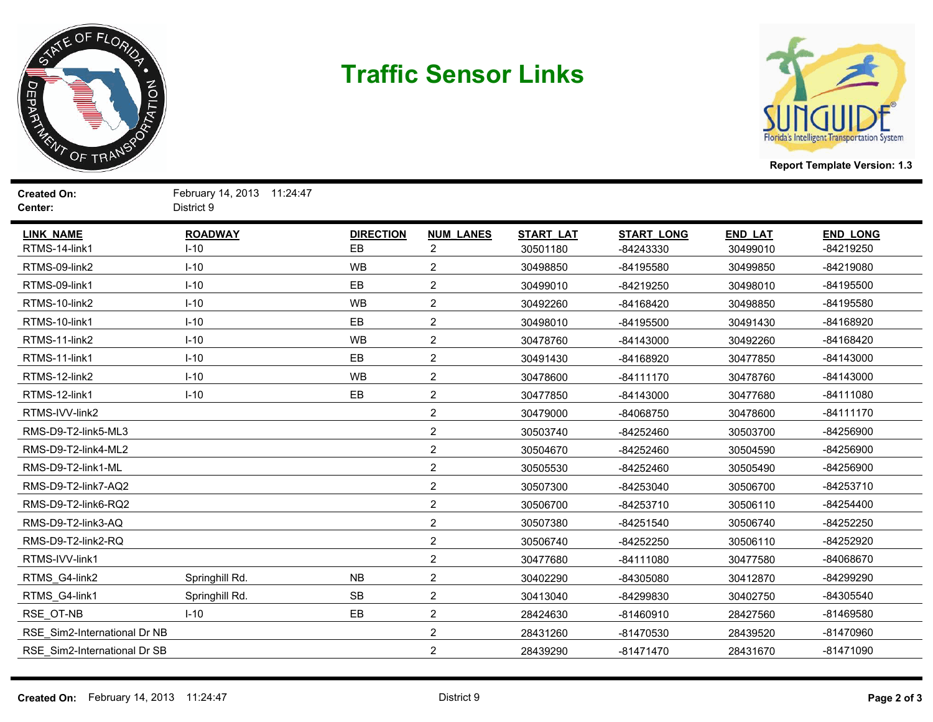

## **Traffic Sensor Links**



**Report Template Version: 1.3**

**Created On:** February 14, 2013 11:24:47 **Center:** District 9

| <b>LINK NAME</b>             | <b>ROADWAY</b> | <b>DIRECTION</b> | <b>NUM LANES</b> | <b>START LAT</b> | <b>START LONG</b> | <b>END LAT</b> | <b>END LONG</b> |
|------------------------------|----------------|------------------|------------------|------------------|-------------------|----------------|-----------------|
| RTMS-14-link1                | $I-10$         | EB               | $\overline{2}$   | 30501180         | -84243330         | 30499010       | -84219250       |
| RTMS-09-link2                | $I-10$         | <b>WB</b>        | $\overline{2}$   | 30498850         | -84195580         | 30499850       | -84219080       |
| RTMS-09-link1                | $I-10$         | EB               | $\overline{2}$   | 30499010         | -84219250         | 30498010       | -84195500       |
| RTMS-10-link2                | $I-10$         | <b>WB</b>        | $\overline{2}$   | 30492260         | -84168420         | 30498850       | -84195580       |
| RTMS-10-link1                | $I-10$         | EB               | $\overline{2}$   | 30498010         | -84195500         | 30491430       | -84168920       |
| RTMS-11-link2                | $I-10$         | <b>WB</b>        | $\overline{2}$   | 30478760         | $-84143000$       | 30492260       | -84168420       |
| RTMS-11-link1                | $I-10$         | EB               | $\overline{2}$   | 30491430         | -84168920         | 30477850       | $-84143000$     |
| RTMS-12-link2                | $I-10$         | <b>WB</b>        | $\overline{2}$   | 30478600         | $-84111170$       | 30478760       | $-84143000$     |
| RTMS-12-link1                | $I-10$         | EB               | $\boldsymbol{2}$ | 30477850         | $-84143000$       | 30477680       | $-84111080$     |
| RTMS-IVV-link2               |                |                  | $\overline{2}$   | 30479000         | -84068750         | 30478600       | $-84111170$     |
| RMS-D9-T2-link5-ML3          |                |                  | $\overline{2}$   | 30503740         | -84252460         | 30503700       | -84256900       |
| RMS-D9-T2-link4-ML2          |                |                  | $\overline{2}$   | 30504670         | -84252460         | 30504590       | -84256900       |
| RMS-D9-T2-link1-ML           |                |                  | $\overline{c}$   | 30505530         | -84252460         | 30505490       | -84256900       |
| RMS-D9-T2-link7-AQ2          |                |                  | $\overline{2}$   | 30507300         | -84253040         | 30506700       | -84253710       |
| RMS-D9-T2-link6-RQ2          |                |                  | $\overline{2}$   | 30506700         | -84253710         | 30506110       | $-84254400$     |
| RMS-D9-T2-link3-AQ           |                |                  | $\overline{2}$   | 30507380         | $-84251540$       | 30506740       | -84252250       |
| RMS-D9-T2-link2-RQ           |                |                  | $\overline{2}$   | 30506740         | -84252250         | 30506110       | -84252920       |
| RTMS-IVV-link1               |                |                  | $\overline{2}$   | 30477680         | $-84111080$       | 30477580       | -84068670       |
| RTMS_G4-link2                | Springhill Rd. | NB               | $\boldsymbol{2}$ | 30402290         | -84305080         | 30412870       | -84299290       |
| RTMS_G4-link1                | Springhill Rd. | <b>SB</b>        | $\overline{c}$   | 30413040         | -84299830         | 30402750       | -84305540       |
| RSE_OT-NB                    | $I-10$         | EB               | $\overline{2}$   | 28424630         | $-81460910$       | 28427560       | -81469580       |
| RSE_Sim2-International Dr NB |                |                  | $\overline{2}$   | 28431260         | -81470530         | 28439520       | -81470960       |
| RSE Sim2-International Dr SB |                |                  | $\overline{2}$   | 28439290         | $-81471470$       | 28431670       | $-81471090$     |